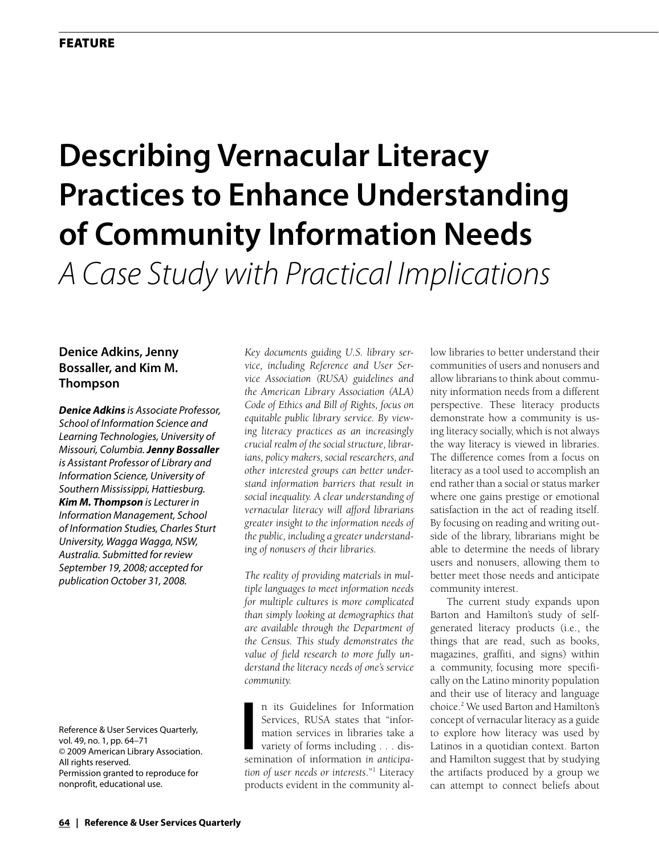# **Describing Vernacular Literacy Practices to Enhance Understanding of Community Information Needs** *A Case Study with Practical Implications*

# **Denice Adkins, Jenny Bossaller, and Kim M. Thompson**

*Denice Adkins is Associate Professor, School of Information Science and Learning Technologies, University of Missouri, Columbia. Jenny Bossaller is Assistant Professor of Library and Information Science, University of Southern Mississippi, Hattiesburg. Kim M. Thompson is Lecturer in Information Management, School of Information Studies, Charles Sturt University, Wagga Wagga, NSW, Australia. Submitted for review September 19, 2008; accepted for publication October 31, 2008.*

Reference & User Services Quarterly, vol. 49, no. 1, pp. 64–71 © 2009 American Library Association. All rights reserved. Permission granted to reproduce for nonprofit, educational use.

*Key documents guiding U.S. library service, including Reference and User Service Association (RUSA) guidelines and the American Library Association (ALA) Code of Ethics and Bill of Rights, focus on equitable public library service. By viewing literacy practices as an increasingly crucial realm of the social structure, librarians, policy makers, social researchers, and other interested groups can better understand information barriers that result in social inequality. A clear understanding of vernacular literacy will afford librarians greater insight to the information needs of the public, including a greater understanding of nonusers of their libraries.* 

*The reality of providing materials in multiple languages to meet information needs for multiple cultures is more complicated than simply looking at demographics that are available through the Department of the Census. This study demonstrates the value of field research to more fully understand the literacy needs of one's service community.*

In its Guidelines for Information<br>
Services, RUSA states that "information services in libraries take a<br>
variety of forms including . . . dis-<br>
semination of information *in anticipa*n its Guidelines for Information Services, RUSA states that "information services in libraries take a variety of forms including . . . dis*tion of user needs or interests*."1 Literacy products evident in the community allow libraries to better understand their communities of users and nonusers and allow librarians to think about community information needs from a different perspective. These literacy products demonstrate how a community is using literacy socially, which is not always the way literacy is viewed in libraries. The difference comes from a focus on literacy as a tool used to accomplish an end rather than a social or status marker where one gains prestige or emotional satisfaction in the act of reading itself. By focusing on reading and writing outside of the library, librarians might be able to determine the needs of library users and nonusers, allowing them to better meet those needs and anticipate community interest.

The current study expands upon Barton and Hamilton's study of selfgenerated literacy products (i.e., the things that are read, such as books, magazines, graffiti, and signs) within a community, focusing more specifically on the Latino minority population and their use of literacy and language choice.2 We used Barton and Hamilton's concept of vernacular literacy as a guide to explore how literacy was used by Latinos in a quotidian context. Barton and Hamilton suggest that by studying the artifacts produced by a group we can attempt to connect beliefs about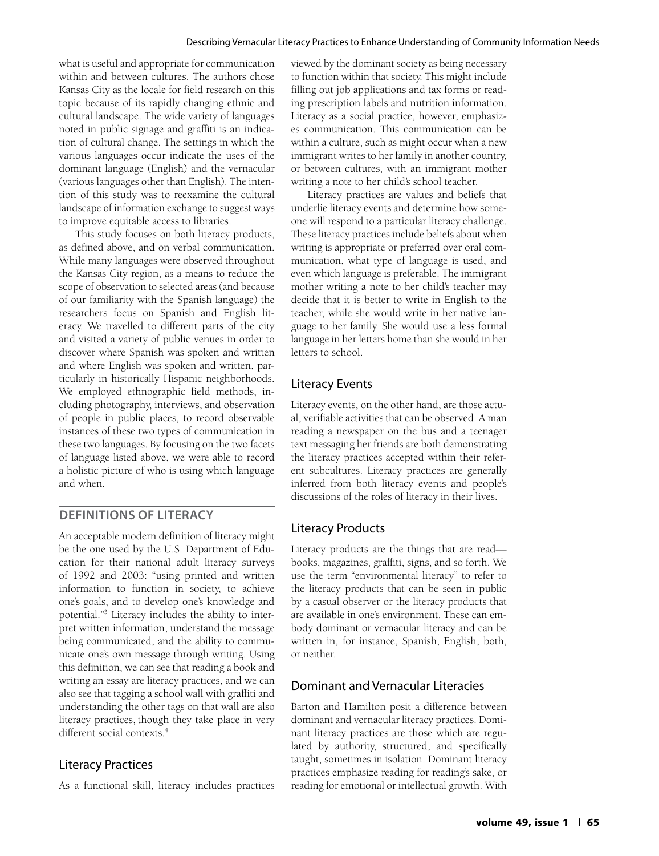what is useful and appropriate for communication within and between cultures. The authors chose Kansas City as the locale for field research on this topic because of its rapidly changing ethnic and cultural landscape. The wide variety of languages noted in public signage and graffiti is an indication of cultural change. The settings in which the various languages occur indicate the uses of the dominant language (English) and the vernacular (various languages other than English). The intention of this study was to reexamine the cultural landscape of information exchange to suggest ways to improve equitable access to libraries.

This study focuses on both literacy products, as defined above, and on verbal communication. While many languages were observed throughout the Kansas City region, as a means to reduce the scope of observation to selected areas (and because of our familiarity with the Spanish language) the researchers focus on Spanish and English literacy. We travelled to different parts of the city and visited a variety of public venues in order to discover where Spanish was spoken and written and where English was spoken and written, particularly in historically Hispanic neighborhoods. We employed ethnographic field methods, including photography, interviews, and observation of people in public places, to record observable instances of these two types of communication in these two languages. By focusing on the two facets of language listed above, we were able to record a holistic picture of who is using which language and when.

# **Definitions of Literacy**

An acceptable modern definition of literacy might be the one used by the U.S. Department of Education for their national adult literacy surveys of 1992 and 2003: "using printed and written information to function in society, to achieve one's goals, and to develop one's knowledge and potential."3 Literacy includes the ability to interpret written information, understand the message being communicated, and the ability to communicate one's own message through writing. Using this definition, we can see that reading a book and writing an essay are literacy practices, and we can also see that tagging a school wall with graffiti and understanding the other tags on that wall are also literacy practices, though they take place in very different social contexts.<sup>4</sup>

# Literacy Practices

As a functional skill, literacy includes practices

viewed by the dominant society as being necessary to function within that society. This might include filling out job applications and tax forms or reading prescription labels and nutrition information. Literacy as a social practice, however, emphasizes communication. This communication can be within a culture, such as might occur when a new immigrant writes to her family in another country, or between cultures, with an immigrant mother writing a note to her child's school teacher.

Literacy practices are values and beliefs that underlie literacy events and determine how someone will respond to a particular literacy challenge. These literacy practices include beliefs about when writing is appropriate or preferred over oral communication, what type of language is used, and even which language is preferable. The immigrant mother writing a note to her child's teacher may decide that it is better to write in English to the teacher, while she would write in her native language to her family. She would use a less formal language in her letters home than she would in her letters to school.

# Literacy Events

Literacy events, on the other hand, are those actual, verifiable activities that can be observed. A man reading a newspaper on the bus and a teenager text messaging her friends are both demonstrating the literacy practices accepted within their referent subcultures. Literacy practices are generally inferred from both literacy events and people's discussions of the roles of literacy in their lives.

# Literacy Products

Literacy products are the things that are read books, magazines, graffiti, signs, and so forth. We use the term "environmental literacy" to refer to the literacy products that can be seen in public by a casual observer or the literacy products that are available in one's environment. These can embody dominant or vernacular literacy and can be written in, for instance, Spanish, English, both, or neither.

# Dominant and Vernacular Literacies

Barton and Hamilton posit a difference between dominant and vernacular literacy practices. Dominant literacy practices are those which are regulated by authority, structured, and specifically taught, sometimes in isolation. Dominant literacy practices emphasize reading for reading's sake, or reading for emotional or intellectual growth. With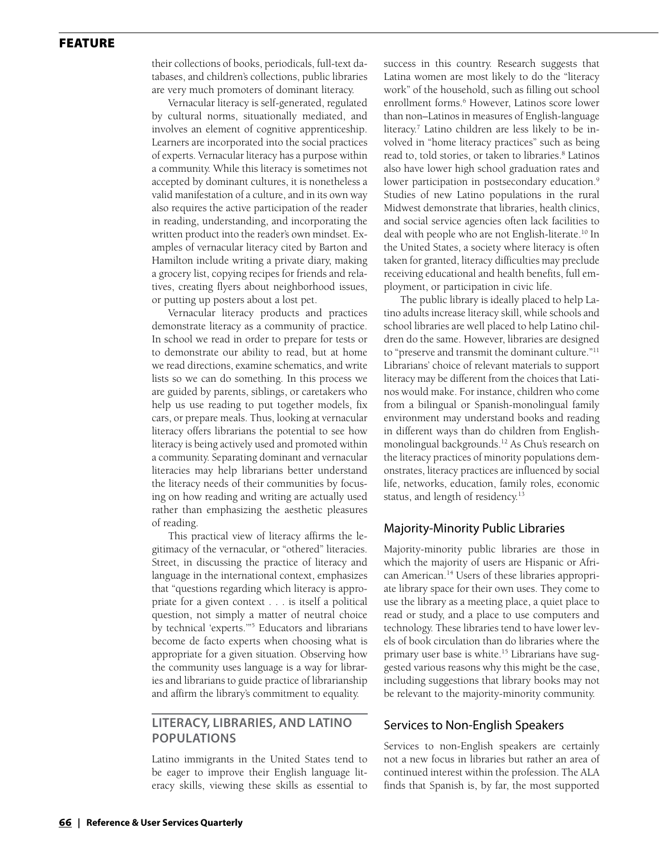### **FEATURE**

their collections of books, periodicals, full-text databases, and children's collections, public libraries are very much promoters of dominant literacy.

Vernacular literacy is self-generated, regulated by cultural norms, situationally mediated, and involves an element of cognitive apprenticeship. Learners are incorporated into the social practices of experts. Vernacular literacy has a purpose within a community. While this literacy is sometimes not accepted by dominant cultures, it is nonetheless a valid manifestation of a culture, and in its own way also requires the active participation of the reader in reading, understanding, and incorporating the written product into the reader's own mindset. Examples of vernacular literacy cited by Barton and Hamilton include writing a private diary, making a grocery list, copying recipes for friends and relatives, creating flyers about neighborhood issues, or putting up posters about a lost pet.

Vernacular literacy products and practices demonstrate literacy as a community of practice. In school we read in order to prepare for tests or to demonstrate our ability to read, but at home we read directions, examine schematics, and write lists so we can do something. In this process we are guided by parents, siblings, or caretakers who help us use reading to put together models, fix cars, or prepare meals. Thus, looking at vernacular literacy offers librarians the potential to see how literacy is being actively used and promoted within a community. Separating dominant and vernacular literacies may help librarians better understand the literacy needs of their communities by focusing on how reading and writing are actually used rather than emphasizing the aesthetic pleasures of reading.

This practical view of literacy affirms the legitimacy of the vernacular, or "othered" literacies. Street, in discussing the practice of literacy and language in the international context, emphasizes that "questions regarding which literacy is appropriate for a given context . . . is itself a political question, not simply a matter of neutral choice by technical 'experts.'"5 Educators and librarians become de facto experts when choosing what is appropriate for a given situation. Observing how the community uses language is a way for libraries and librarians to guide practice of librarianship and affirm the library's commitment to equality.

## **Literacy, Libraries, and Latino Populations**

Latino immigrants in the United States tend to be eager to improve their English language literacy skills, viewing these skills as essential to success in this country. Research suggests that Latina women are most likely to do the "literacy work" of the household, such as filling out school enrollment forms.<sup>6</sup> However, Latinos score lower than non–Latinos in measures of English-language literacy.7 Latino children are less likely to be involved in "home literacy practices" such as being read to, told stories, or taken to libraries.<sup>8</sup> Latinos also have lower high school graduation rates and lower participation in postsecondary education.<sup>9</sup> Studies of new Latino populations in the rural Midwest demonstrate that libraries, health clinics, and social service agencies often lack facilities to deal with people who are not English-literate.<sup>10</sup> In the United States, a society where literacy is often taken for granted, literacy difficulties may preclude receiving educational and health benefits, full employment, or participation in civic life.

The public library is ideally placed to help Latino adults increase literacy skill, while schools and school libraries are well placed to help Latino children do the same. However, libraries are designed to "preserve and transmit the dominant culture."11 Librarians' choice of relevant materials to support literacy may be different from the choices that Latinos would make. For instance, children who come from a bilingual or Spanish-monolingual family environment may understand books and reading in different ways than do children from Englishmonolingual backgrounds.<sup>12</sup> As Chu's research on the literacy practices of minority populations demonstrates, literacy practices are influenced by social life, networks, education, family roles, economic status, and length of residency.<sup>13</sup>

#### Majority-Minority Public Libraries

Majority-minority public libraries are those in which the majority of users are Hispanic or African American.<sup>14</sup> Users of these libraries appropriate library space for their own uses. They come to use the library as a meeting place, a quiet place to read or study, and a place to use computers and technology. These libraries tend to have lower levels of book circulation than do libraries where the primary user base is white.<sup>15</sup> Librarians have suggested various reasons why this might be the case, including suggestions that library books may not be relevant to the majority-minority community.

#### Services to Non-English Speakers

Services to non-English speakers are certainly not a new focus in libraries but rather an area of continued interest within the profession. The ALA finds that Spanish is, by far, the most supported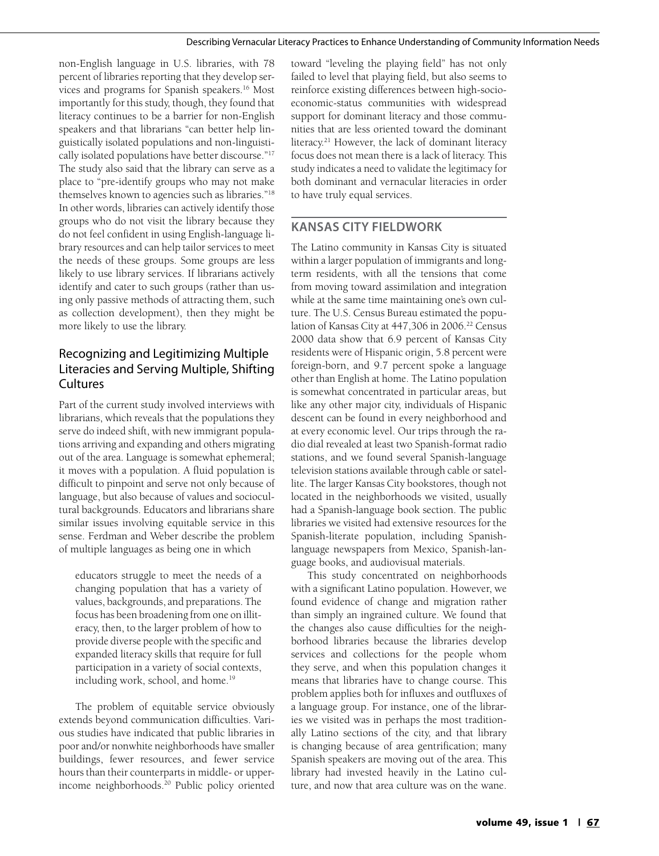non-English language in U.S. libraries, with 78 percent of libraries reporting that they develop services and programs for Spanish speakers.16 Most importantly for this study, though, they found that literacy continues to be a barrier for non-English speakers and that librarians "can better help linguistically isolated populations and non-linguistically isolated populations have better discourse."17 The study also said that the library can serve as a place to "pre-identify groups who may not make themselves known to agencies such as libraries."18 In other words, libraries can actively identify those groups who do not visit the library because they do not feel confident in using English-language library resources and can help tailor services to meet the needs of these groups. Some groups are less likely to use library services. If librarians actively identify and cater to such groups (rather than using only passive methods of attracting them, such as collection development), then they might be more likely to use the library.

# Recognizing and Legitimizing Multiple Literacies and Serving Multiple, Shifting **Cultures**

Part of the current study involved interviews with librarians, which reveals that the populations they serve do indeed shift, with new immigrant populations arriving and expanding and others migrating out of the area. Language is somewhat ephemeral; it moves with a population. A fluid population is difficult to pinpoint and serve not only because of language, but also because of values and sociocultural backgrounds. Educators and librarians share similar issues involving equitable service in this sense. Ferdman and Weber describe the problem of multiple languages as being one in which

educators struggle to meet the needs of a changing population that has a variety of values, backgrounds, and preparations. The focus has been broadening from one on illiteracy, then, to the larger problem of how to provide diverse people with the specific and expanded literacy skills that require for full participation in a variety of social contexts, including work, school, and home.<sup>19</sup>

The problem of equitable service obviously extends beyond communication difficulties. Various studies have indicated that public libraries in poor and/or nonwhite neighborhoods have smaller buildings, fewer resources, and fewer service hours than their counterparts in middle- or upperincome neighborhoods.<sup>20</sup> Public policy oriented

toward "leveling the playing field" has not only failed to level that playing field, but also seems to reinforce existing differences between high-socioeconomic-status communities with widespread support for dominant literacy and those communities that are less oriented toward the dominant literacy.<sup>21</sup> However, the lack of dominant literacy focus does not mean there is a lack of literacy. This study indicates a need to validate the legitimacy for both dominant and vernacular literacies in order to have truly equal services.

## **Kansas City Fieldwork**

The Latino community in Kansas City is situated within a larger population of immigrants and longterm residents, with all the tensions that come from moving toward assimilation and integration while at the same time maintaining one's own culture. The U.S. Census Bureau estimated the population of Kansas City at 447,306 in 2006.<sup>22</sup> Census 2000 data show that 6.9 percent of Kansas City residents were of Hispanic origin, 5.8 percent were foreign-born, and 9.7 percent spoke a language other than English at home. The Latino population is somewhat concentrated in particular areas, but like any other major city, individuals of Hispanic descent can be found in every neighborhood and at every economic level. Our trips through the radio dial revealed at least two Spanish-format radio stations, and we found several Spanish-language television stations available through cable or satellite. The larger Kansas City bookstores, though not located in the neighborhoods we visited, usually had a Spanish-language book section. The public libraries we visited had extensive resources for the Spanish-literate population, including Spanishlanguage newspapers from Mexico, Spanish-language books, and audiovisual materials.

This study concentrated on neighborhoods with a significant Latino population. However, we found evidence of change and migration rather than simply an ingrained culture. We found that the changes also cause difficulties for the neighborhood libraries because the libraries develop services and collections for the people whom they serve, and when this population changes it means that libraries have to change course. This problem applies both for influxes and outfluxes of a language group. For instance, one of the libraries we visited was in perhaps the most traditionally Latino sections of the city, and that library is changing because of area gentrification; many Spanish speakers are moving out of the area. This library had invested heavily in the Latino culture, and now that area culture was on the wane.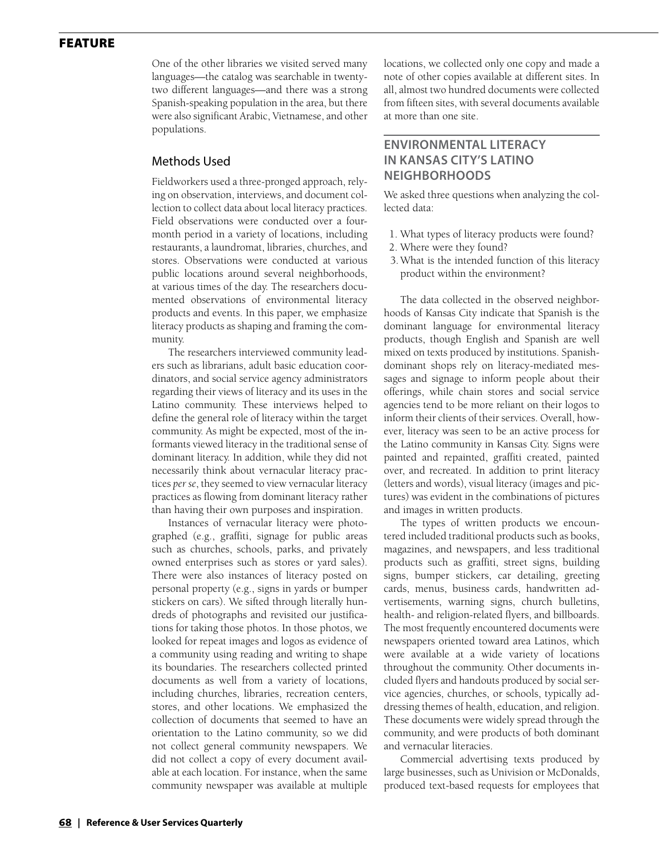### **FEATURE**

One of the other libraries we visited served many languages—the catalog was searchable in twentytwo different languages—and there was a strong Spanish-speaking population in the area, but there were also significant Arabic, Vietnamese, and other populations.

#### Methods Used

Fieldworkers used a three-pronged approach, relying on observation, interviews, and document collection to collect data about local literacy practices. Field observations were conducted over a fourmonth period in a variety of locations, including restaurants, a laundromat, libraries, churches, and stores. Observations were conducted at various public locations around several neighborhoods, at various times of the day. The researchers documented observations of environmental literacy products and events. In this paper, we emphasize literacy products as shaping and framing the community.

The researchers interviewed community leaders such as librarians, adult basic education coordinators, and social service agency administrators regarding their views of literacy and its uses in the Latino community. These interviews helped to define the general role of literacy within the target community. As might be expected, most of the informants viewed literacy in the traditional sense of dominant literacy. In addition, while they did not necessarily think about vernacular literacy practices *per se*, they seemed to view vernacular literacy practices as flowing from dominant literacy rather than having their own purposes and inspiration.

Instances of vernacular literacy were photographed (e.g., graffiti, signage for public areas such as churches, schools, parks, and privately owned enterprises such as stores or yard sales). There were also instances of literacy posted on personal property (e.g., signs in yards or bumper stickers on cars). We sifted through literally hundreds of photographs and revisited our justifications for taking those photos. In those photos, we looked for repeat images and logos as evidence of a community using reading and writing to shape its boundaries. The researchers collected printed documents as well from a variety of locations, including churches, libraries, recreation centers, stores, and other locations. We emphasized the collection of documents that seemed to have an orientation to the Latino community, so we did not collect general community newspapers. We did not collect a copy of every document available at each location. For instance, when the same community newspaper was available at multiple locations, we collected only one copy and made a note of other copies available at different sites. In all, almost two hundred documents were collected from fifteen sites, with several documents available at more than one site.

# **Environmental Literacy in Kansas City's Latino Neighborhoods**

We asked three questions when analyzing the collected data:

- 1. What types of literacy products were found?
- 2. Where were they found?
- 3.What is the intended function of this literacy product within the environment?

The data collected in the observed neighborhoods of Kansas City indicate that Spanish is the dominant language for environmental literacy products, though English and Spanish are well mixed on texts produced by institutions. Spanishdominant shops rely on literacy-mediated messages and signage to inform people about their offerings, while chain stores and social service agencies tend to be more reliant on their logos to inform their clients of their services. Overall, however, literacy was seen to be an active process for the Latino community in Kansas City. Signs were painted and repainted, graffiti created, painted over, and recreated. In addition to print literacy (letters and words), visual literacy (images and pictures) was evident in the combinations of pictures and images in written products.

The types of written products we encountered included traditional products such as books, magazines, and newspapers, and less traditional products such as graffiti, street signs, building signs, bumper stickers, car detailing, greeting cards, menus, business cards, handwritten advertisements, warning signs, church bulletins, health- and religion-related flyers, and billboards. The most frequently encountered documents were newspapers oriented toward area Latinos, which were available at a wide variety of locations throughout the community. Other documents included flyers and handouts produced by social service agencies, churches, or schools, typically addressing themes of health, education, and religion. These documents were widely spread through the community, and were products of both dominant and vernacular literacies.

Commercial advertising texts produced by large businesses, such as Univision or McDonalds, produced text-based requests for employees that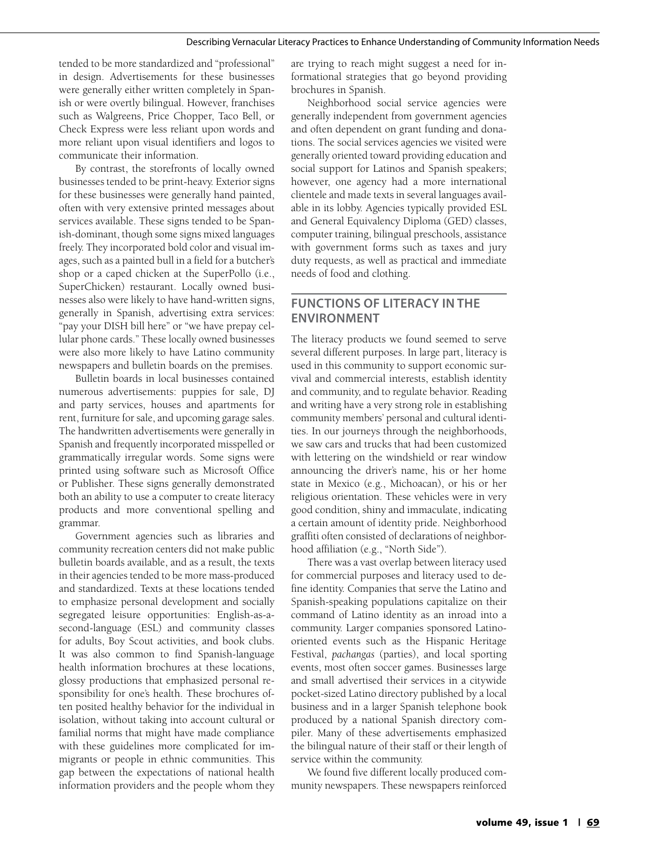tended to be more standardized and "professional" in design. Advertisements for these businesses were generally either written completely in Spanish or were overtly bilingual. However, franchises such as Walgreens, Price Chopper, Taco Bell, or Check Express were less reliant upon words and more reliant upon visual identifiers and logos to communicate their information.

By contrast, the storefronts of locally owned businesses tended to be print-heavy. Exterior signs for these businesses were generally hand painted, often with very extensive printed messages about services available. These signs tended to be Spanish-dominant, though some signs mixed languages freely. They incorporated bold color and visual images, such as a painted bull in a field for a butcher's shop or a caped chicken at the SuperPollo (i.e., SuperChicken) restaurant. Locally owned businesses also were likely to have hand-written signs, generally in Spanish, advertising extra services: "pay your DISH bill here" or "we have prepay cellular phone cards." These locally owned businesses were also more likely to have Latino community newspapers and bulletin boards on the premises.

Bulletin boards in local businesses contained numerous advertisements: puppies for sale, DJ and party services, houses and apartments for rent, furniture for sale, and upcoming garage sales. The handwritten advertisements were generally in Spanish and frequently incorporated misspelled or grammatically irregular words. Some signs were printed using software such as Microsoft Office or Publisher. These signs generally demonstrated both an ability to use a computer to create literacy products and more conventional spelling and grammar.

Government agencies such as libraries and community recreation centers did not make public bulletin boards available, and as a result, the texts in their agencies tended to be more mass-produced and standardized. Texts at these locations tended to emphasize personal development and socially segregated leisure opportunities: English-as-asecond-language (ESL) and community classes for adults, Boy Scout activities, and book clubs. It was also common to find Spanish-language health information brochures at these locations, glossy productions that emphasized personal responsibility for one's health. These brochures often posited healthy behavior for the individual in isolation, without taking into account cultural or familial norms that might have made compliance with these guidelines more complicated for immigrants or people in ethnic communities. This gap between the expectations of national health information providers and the people whom they are trying to reach might suggest a need for informational strategies that go beyond providing brochures in Spanish.

Neighborhood social service agencies were generally independent from government agencies and often dependent on grant funding and donations. The social services agencies we visited were generally oriented toward providing education and social support for Latinos and Spanish speakers; however, one agency had a more international clientele and made texts in several languages available in its lobby. Agencies typically provided ESL and General Equivalency Diploma (GED) classes, computer training, bilingual preschools, assistance with government forms such as taxes and jury duty requests, as well as practical and immediate needs of food and clothing.

# **Functions of Literacy in the ENVIRONMENT**

The literacy products we found seemed to serve several different purposes. In large part, literacy is used in this community to support economic survival and commercial interests, establish identity and community, and to regulate behavior. Reading and writing have a very strong role in establishing community members' personal and cultural identities. In our journeys through the neighborhoods, we saw cars and trucks that had been customized with lettering on the windshield or rear window announcing the driver's name, his or her home state in Mexico (e.g., Michoacan), or his or her religious orientation. These vehicles were in very good condition, shiny and immaculate, indicating a certain amount of identity pride. Neighborhood graffiti often consisted of declarations of neighborhood affiliation (e.g., "North Side").

There was a vast overlap between literacy used for commercial purposes and literacy used to define identity. Companies that serve the Latino and Spanish-speaking populations capitalize on their command of Latino identity as an inroad into a community. Larger companies sponsored Latinooriented events such as the Hispanic Heritage Festival, *pachangas* (parties), and local sporting events, most often soccer games. Businesses large and small advertised their services in a citywide pocket-sized Latino directory published by a local business and in a larger Spanish telephone book produced by a national Spanish directory compiler. Many of these advertisements emphasized the bilingual nature of their staff or their length of service within the community.

We found five different locally produced community newspapers. These newspapers reinforced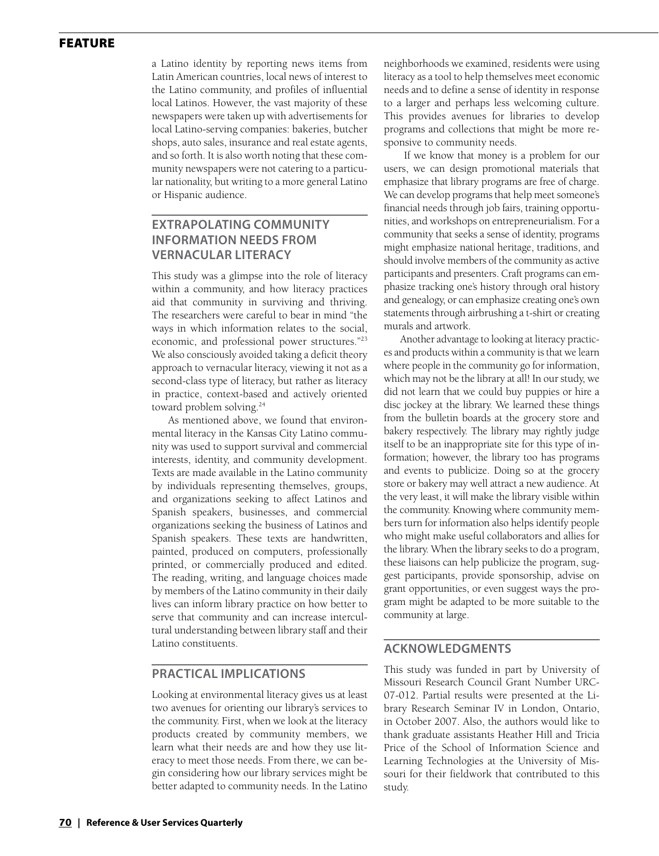### **FEATURE**

a Latino identity by reporting news items from Latin American countries, local news of interest to the Latino community, and profiles of influential local Latinos. However, the vast majority of these newspapers were taken up with advertisements for local Latino-serving companies: bakeries, butcher shops, auto sales, insurance and real estate agents, and so forth. It is also worth noting that these community newspapers were not catering to a particular nationality, but writing to a more general Latino or Hispanic audience.

# **Extrapolating Community Information Needs from Vernacular Literacy**

This study was a glimpse into the role of literacy within a community, and how literacy practices aid that community in surviving and thriving. The researchers were careful to bear in mind "the ways in which information relates to the social, economic, and professional power structures."23 We also consciously avoided taking a deficit theory approach to vernacular literacy, viewing it not as a second-class type of literacy, but rather as literacy in practice, context-based and actively oriented toward problem solving.<sup>24</sup>

As mentioned above, we found that environmental literacy in the Kansas City Latino community was used to support survival and commercial interests, identity, and community development. Texts are made available in the Latino community by individuals representing themselves, groups, and organizations seeking to affect Latinos and Spanish speakers, businesses, and commercial organizations seeking the business of Latinos and Spanish speakers. These texts are handwritten, painted, produced on computers, professionally printed, or commercially produced and edited. The reading, writing, and language choices made by members of the Latino community in their daily lives can inform library practice on how better to serve that community and can increase intercultural understanding between library staff and their Latino constituents.

#### **Practical Implications**

Looking at environmental literacy gives us at least two avenues for orienting our library's services to the community. First, when we look at the literacy products created by community members, we learn what their needs are and how they use literacy to meet those needs. From there, we can begin considering how our library services might be better adapted to community needs. In the Latino neighborhoods we examined, residents were using literacy as a tool to help themselves meet economic needs and to define a sense of identity in response to a larger and perhaps less welcoming culture. This provides avenues for libraries to develop programs and collections that might be more responsive to community needs.

 If we know that money is a problem for our users, we can design promotional materials that emphasize that library programs are free of charge. We can develop programs that help meet someone's financial needs through job fairs, training opportunities, and workshops on entrepreneurialism. For a community that seeks a sense of identity, programs might emphasize national heritage, traditions, and should involve members of the community as active participants and presenters. Craft programs can emphasize tracking one's history through oral history and genealogy, or can emphasize creating one's own statements through airbrushing a t-shirt or creating murals and artwork.

Another advantage to looking at literacy practices and products within a community is that we learn where people in the community go for information, which may not be the library at all! In our study, we did not learn that we could buy puppies or hire a disc jockey at the library. We learned these things from the bulletin boards at the grocery store and bakery respectively. The library may rightly judge itself to be an inappropriate site for this type of information; however, the library too has programs and events to publicize. Doing so at the grocery store or bakery may well attract a new audience. At the very least, it will make the library visible within the community. Knowing where community members turn for information also helps identify people who might make useful collaborators and allies for the library. When the library seeks to do a program, these liaisons can help publicize the program, suggest participants, provide sponsorship, advise on grant opportunities, or even suggest ways the program might be adapted to be more suitable to the community at large.

#### **ACKNOWLEDGMENTS**

This study was funded in part by University of Missouri Research Council Grant Number URC-07-012. Partial results were presented at the Library Research Seminar IV in London, Ontario, in October 2007. Also, the authors would like to thank graduate assistants Heather Hill and Tricia Price of the School of Information Science and Learning Technologies at the University of Missouri for their fieldwork that contributed to this study.